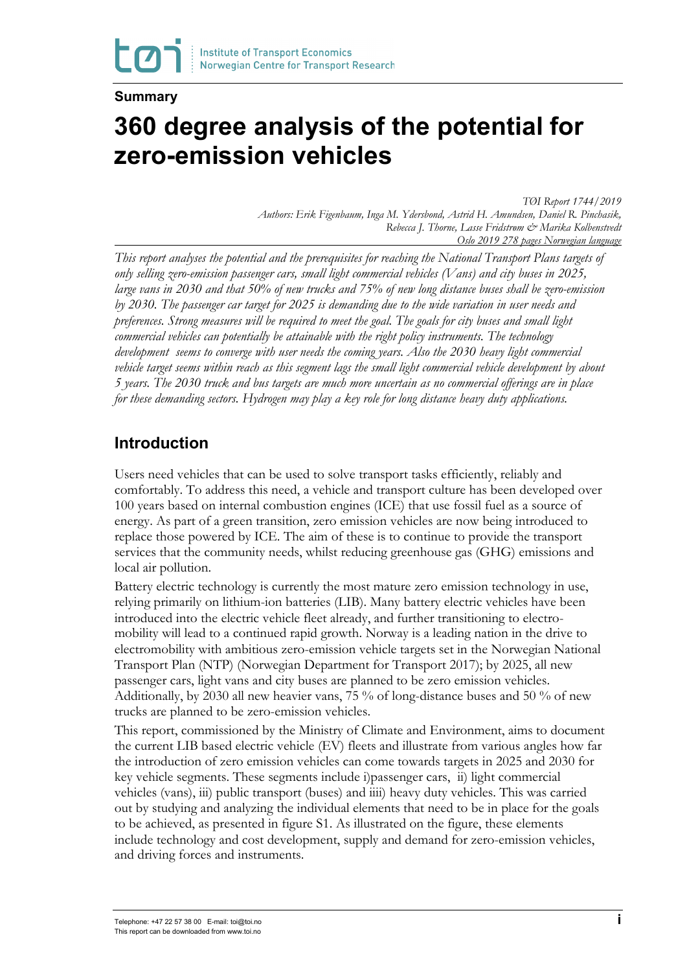#### **Summary**

# **360 degree analysis of the potential for zero-emission vehicles**

*TØI Report 1744/2019*

*Authors: Erik Figenbaum, Inga M. Ydersbond, Astrid H. Amundsen, Daniel R. Pinchasik, Rebecca J. Thorne, Lasse Fridstrøm & Marika Kolbenstvedt Oslo 2019 278 pages Norwegian language*

*This report analyses the potential and the prerequisites for reaching the National Transport Plans targets of only selling zero-emission passenger cars, small light commercial vehicles (Vans) and city buses in 2025, large vans in 2030 and that 50% of new trucks and 75% of new long distance buses shall be zero-emission by 2030. The passenger car target for 2025 is demanding due to the wide variation in user needs and preferences. Strong measures will be required to meet the goal. The goals for city buses and small light commercial vehicles can potentially be attainable with the right policy instruments. The technology development seems to converge with user needs the coming years. Also the 2030 heavy light commercial vehicle target seems within reach as this segment lags the small light commercial vehicle development by about 5 years. The 2030 truck and bus targets are much more uncertain as no commercial offerings are in place for these demanding sectors. Hydrogen may play a key role for long distance heavy duty applications.* 

# **Introduction**

Users need vehicles that can be used to solve transport tasks efficiently, reliably and comfortably. To address this need, a vehicle and transport culture has been developed over 100 years based on internal combustion engines (ICE) that use fossil fuel as a source of energy. As part of a green transition, zero emission vehicles are now being introduced to replace those powered by ICE. The aim of these is to continue to provide the transport services that the community needs, whilst reducing greenhouse gas (GHG) emissions and local air pollution.

Battery electric technology is currently the most mature zero emission technology in use, relying primarily on lithium-ion batteries (LIB). Many battery electric vehicles have been introduced into the electric vehicle fleet already, and further transitioning to electromobility will lead to a continued rapid growth. Norway is a leading nation in the drive to electromobility with ambitious zero-emission vehicle targets set in the Norwegian National Transport Plan (NTP) (Norwegian Department for Transport 2017); by 2025, all new passenger cars, light vans and city buses are planned to be zero emission vehicles. Additionally, by 2030 all new heavier vans, 75 % of long-distance buses and 50 % of new trucks are planned to be zero-emission vehicles.

This report, commissioned by the Ministry of Climate and Environment, aims to document the current LIB based electric vehicle (EV) fleets and illustrate from various angles how far the introduction of zero emission vehicles can come towards targets in 2025 and 2030 for key vehicle segments. These segments include i)passenger cars, ii) light commercial vehicles (vans), iii) public transport (buses) and iiii) heavy duty vehicles. This was carried out by studying and analyzing the individual elements that need to be in place for the goals to be achieved, as presented in figure S1. As illustrated on the figure, these elements include technology and cost development, supply and demand for zero-emission vehicles, and driving forces and instruments.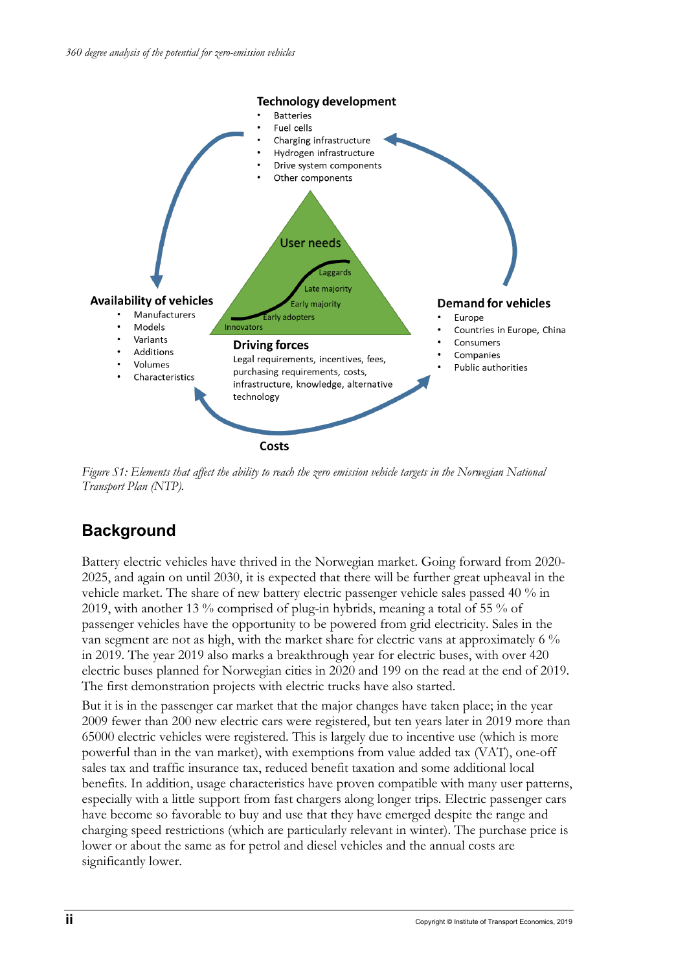

*Figure S1: Elements that affect the ability to reach the zero emission vehicle targets in the Norwegian National Transport Plan (NTP).*

# **Background**

Battery electric vehicles have thrived in the Norwegian market. Going forward from 2020- 2025, and again on until 2030, it is expected that there will be further great upheaval in the vehicle market. The share of new battery electric passenger vehicle sales passed 40 % in 2019, with another 13 % comprised of plug-in hybrids, meaning a total of 55 % of passenger vehicles have the opportunity to be powered from grid electricity. Sales in the van segment are not as high, with the market share for electric vans at approximately 6 % in 2019. The year 2019 also marks a breakthrough year for electric buses, with over 420 electric buses planned for Norwegian cities in 2020 and 199 on the read at the end of 2019. The first demonstration projects with electric trucks have also started.

But it is in the passenger car market that the major changes have taken place; in the year 2009 fewer than 200 new electric cars were registered, but ten years later in 2019 more than 65000 electric vehicles were registered. This is largely due to incentive use (which is more powerful than in the van market), with exemptions from value added tax (VAT), one-off sales tax and traffic insurance tax, reduced benefit taxation and some additional local benefits. In addition, usage characteristics have proven compatible with many user patterns, especially with a little support from fast chargers along longer trips. Electric passenger cars have become so favorable to buy and use that they have emerged despite the range and charging speed restrictions (which are particularly relevant in winter). The purchase price is lower or about the same as for petrol and diesel vehicles and the annual costs are significantly lower.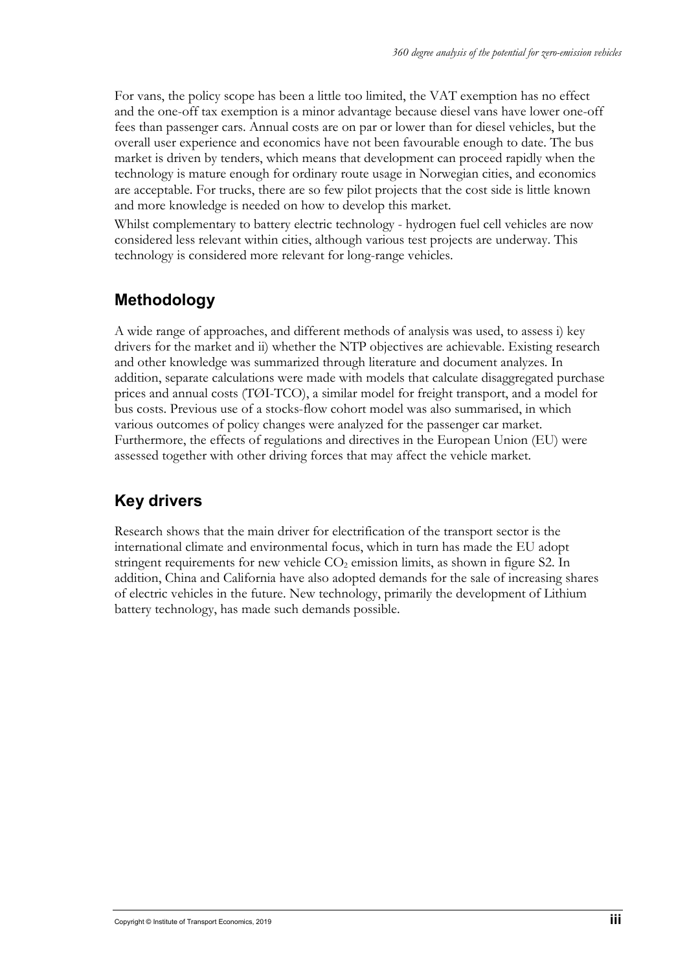For vans, the policy scope has been a little too limited, the VAT exemption has no effect and the one-off tax exemption is a minor advantage because diesel vans have lower one-off fees than passenger cars. Annual costs are on par or lower than for diesel vehicles, but the overall user experience and economics have not been favourable enough to date. The bus market is driven by tenders, which means that development can proceed rapidly when the technology is mature enough for ordinary route usage in Norwegian cities, and economics are acceptable. For trucks, there are so few pilot projects that the cost side is little known and more knowledge is needed on how to develop this market.

Whilst complementary to battery electric technology - hydrogen fuel cell vehicles are now considered less relevant within cities, although various test projects are underway. This technology is considered more relevant for long-range vehicles.

# **Methodology**

A wide range of approaches, and different methods of analysis was used, to assess i) key drivers for the market and ii) whether the NTP objectives are achievable. Existing research and other knowledge was summarized through literature and document analyzes. In addition, separate calculations were made with models that calculate disaggregated purchase prices and annual costs (TØI-TCO), a similar model for freight transport, and a model for bus costs. Previous use of a stocks-flow cohort model was also summarised, in which various outcomes of policy changes were analyzed for the passenger car market. Furthermore, the effects of regulations and directives in the European Union (EU) were assessed together with other driving forces that may affect the vehicle market.

# **Key drivers**

Research shows that the main driver for electrification of the transport sector is the international climate and environmental focus, which in turn has made the EU adopt stringent requirements for new vehicle  $CO<sub>2</sub>$  emission limits, as shown in figure S2. In addition, China and California have also adopted demands for the sale of increasing shares of electric vehicles in the future. New technology, primarily the development of Lithium battery technology, has made such demands possible.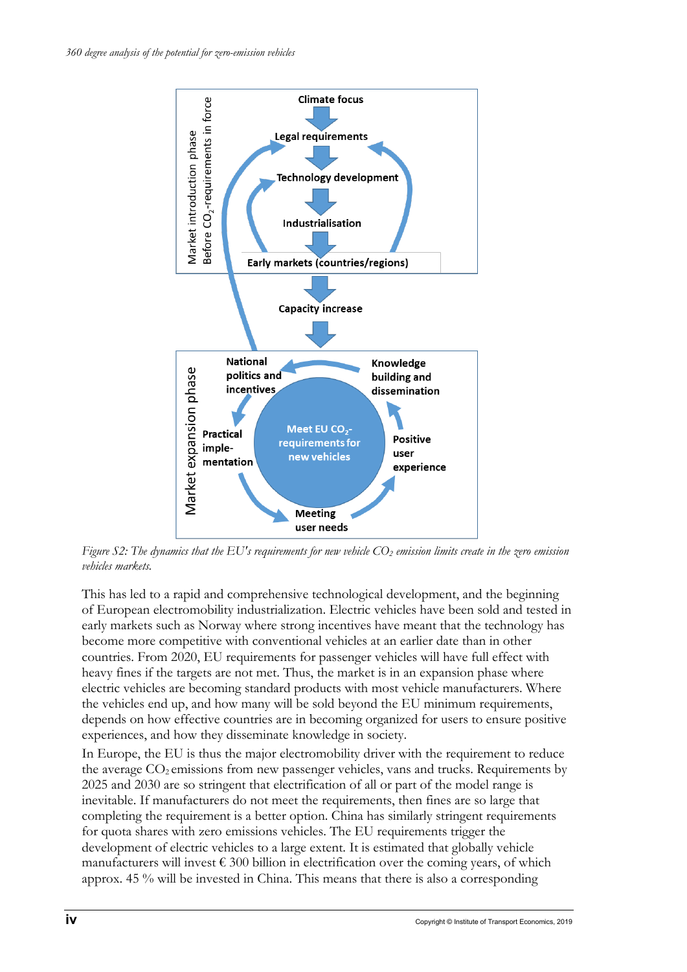

*Figure S2: The dynamics that the EU's requirements for new vehicle CO2 emission limits create in the zero emission vehicles markets.*

This has led to a rapid and comprehensive technological development, and the beginning of European electromobility industrialization. Electric vehicles have been sold and tested in early markets such as Norway where strong incentives have meant that the technology has become more competitive with conventional vehicles at an earlier date than in other countries. From 2020, EU requirements for passenger vehicles will have full effect with heavy fines if the targets are not met. Thus, the market is in an expansion phase where electric vehicles are becoming standard products with most vehicle manufacturers. Where the vehicles end up, and how many will be sold beyond the EU minimum requirements, depends on how effective countries are in becoming organized for users to ensure positive experiences, and how they disseminate knowledge in society.

In Europe, the EU is thus the major electromobility driver with the requirement to reduce the average  $CO<sub>2</sub>$  emissions from new passenger vehicles, vans and trucks. Requirements by 2025 and 2030 are so stringent that electrification of all or part of the model range is inevitable. If manufacturers do not meet the requirements, then fines are so large that completing the requirement is a better option. China has similarly stringent requirements for quota shares with zero emissions vehicles. The EU requirements trigger the development of electric vehicles to a large extent. It is estimated that globally vehicle manufacturers will invest  $\epsilon$  300 billion in electrification over the coming years, of which approx. 45 % will be invested in China. This means that there is also a corresponding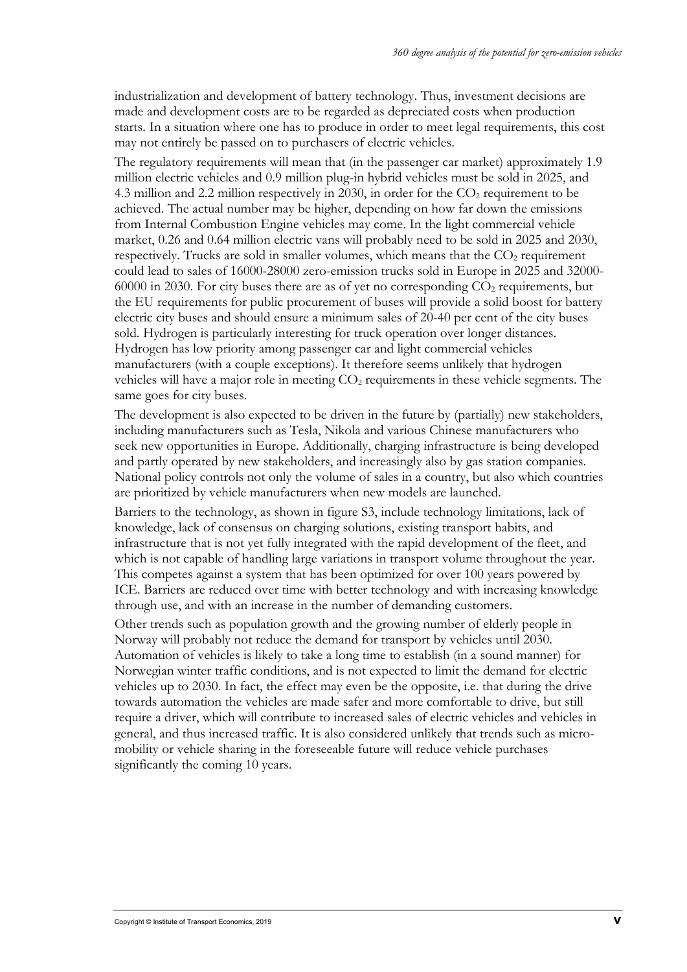industrialization and development of battery technology. Thus, investment decisions are made and development costs are to be regarded as depreciated costs when production starts. In a situation where one has to produce in order to meet legal requirements, this cost may not entirely be passed on to purchasers of electric vehicles.

The regulatory requirements will mean that (in the passenger car market) approximately 1.9 million electric vehicles and 0.9 million plug-in hybrid vehicles must be sold in 2025, and 4.3 million and 2.2 million respectively in 2030, in order for the  $CO<sub>2</sub>$  requirement to be achieved. The actual number may be higher, depending on how far down the emissions from Internal Combustion Engine vehicles may come. In the light commercial vehicle market, 0.26 and 0.64 million electric vans will probably need to be sold in 2025 and 2030, respectively. Trucks are sold in smaller volumes, which means that the  $CO<sub>2</sub>$  requirement could lead to sales of 16000-28000 zero-emission trucks sold in Europe in 2025 and 32000-  $60000$  in 2030. For city buses there are as of yet no corresponding  $CO<sub>2</sub>$  requirements, but the EU requirements for public procurement of buses will provide a solid boost for battery electric city buses and should ensure a minimum sales of 20-40 per cent of the city buses sold. Hydrogen is particularly interesting for truck operation over longer distances. Hydrogen has low priority among passenger car and light commercial vehicles manufacturers (with a couple exceptions). It therefore seems unlikely that hydrogen vehicles will have a major role in meeting  $CO<sub>2</sub>$  requirements in these vehicle segments. The same goes for city buses.

The development is also expected to be driven in the future by (partially) new stakeholders, including manufacturers such as Tesla, Nikola and various Chinese manufacturers who seek new opportunities in Europe. Additionally, charging infrastructure is being developed and partly operated by new stakeholders, and increasingly also by gas station companies. National policy controls not only the volume of sales in a country, but also which countries are prioritized by vehicle manufacturers when new models are launched.

Barriers to the technology, as shown in figure S3, include technology limitations, lack of knowledge, lack of consensus on charging solutions, existing transport habits, and infrastructure that is not yet fully integrated with the rapid development of the fleet, and which is not capable of handling large variations in transport volume throughout the year. This competes against a system that has been optimized for over 100 years powered by ICE. Barriers are reduced over time with better technology and with increasing knowledge through use, and with an increase in the number of demanding customers.

Other trends such as population growth and the growing number of elderly people in Norway will probably not reduce the demand for transport by vehicles until 2030. Automation of vehicles is likely to take a long time to establish (in a sound manner) for Norwegian winter traffic conditions, and is not expected to limit the demand for electric vehicles up to 2030. In fact, the effect may even be the opposite, i.e. that during the drive towards automation the vehicles are made safer and more comfortable to drive, but still require a driver, which will contribute to increased sales of electric vehicles and vehicles in general, and thus increased traffic. It is also considered unlikely that trends such as micromobility or vehicle sharing in the foreseeable future will reduce vehicle purchases significantly the coming 10 years.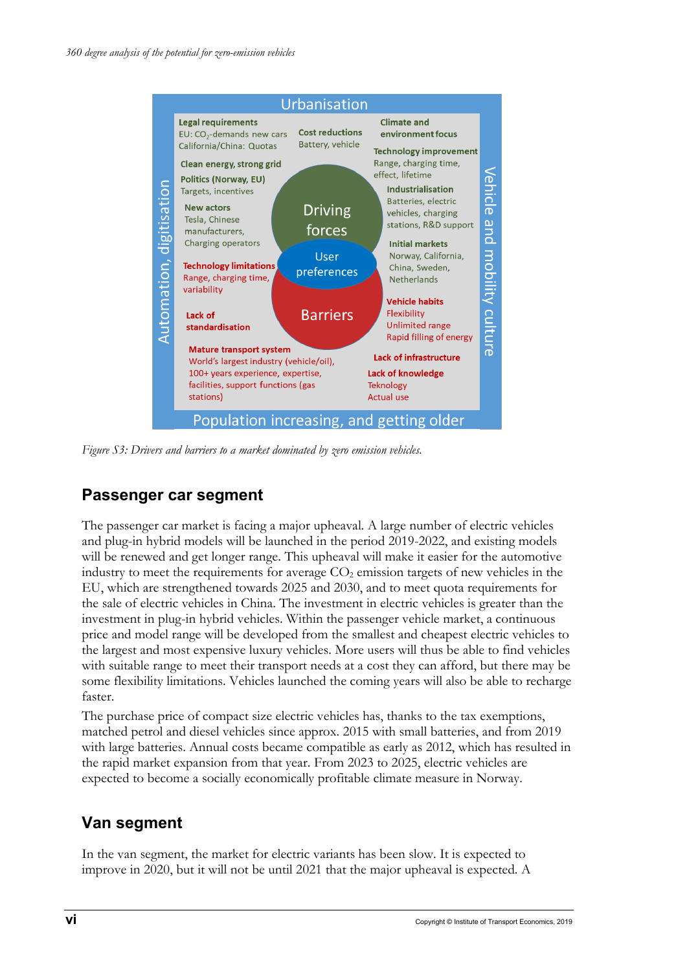

*Figure S3: Drivers and barriers to a market dominated by zero emission vehicles.*

#### **Passenger car segment**

The passenger car market is facing a major upheaval. A large number of electric vehicles and plug-in hybrid models will be launched in the period 2019-2022, and existing models will be renewed and get longer range. This upheaval will make it easier for the automotive industry to meet the requirements for average  $CO<sub>2</sub>$  emission targets of new vehicles in the EU, which are strengthened towards 2025 and 2030, and to meet quota requirements for the sale of electric vehicles in China. The investment in electric vehicles is greater than the investment in plug-in hybrid vehicles. Within the passenger vehicle market, a continuous price and model range will be developed from the smallest and cheapest electric vehicles to the largest and most expensive luxury vehicles. More users will thus be able to find vehicles with suitable range to meet their transport needs at a cost they can afford, but there may be some flexibility limitations. Vehicles launched the coming years will also be able to recharge faster.

The purchase price of compact size electric vehicles has, thanks to the tax exemptions, matched petrol and diesel vehicles since approx. 2015 with small batteries, and from 2019 with large batteries. Annual costs became compatible as early as 2012, which has resulted in the rapid market expansion from that year. From 2023 to 2025, electric vehicles are expected to become a socially economically profitable climate measure in Norway.

### **Van segment**

In the van segment, the market for electric variants has been slow. It is expected to improve in 2020, but it will not be until 2021 that the major upheaval is expected. A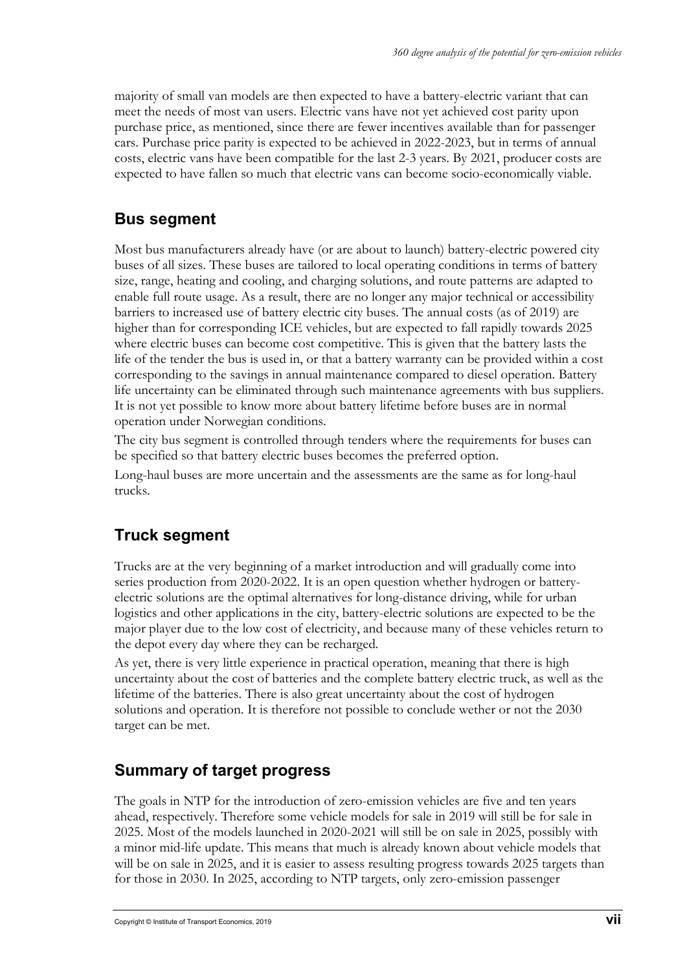majority of small van models are then expected to have a battery-electric variant that can meet the needs of most van users. Electric vans have not yet achieved cost parity upon purchase price, as mentioned, since there are fewer incentives available than for passenger cars. Purchase price parity is expected to be achieved in 2022-2023, but in terms of annual costs, electric vans have been compatible for the last 2-3 years. By 2021, producer costs are expected to have fallen so much that electric vans can become socio-economically viable.

# **Bus segment**

Most bus manufacturers already have (or are about to launch) battery-electric powered city buses of all sizes. These buses are tailored to local operating conditions in terms of battery size, range, heating and cooling, and charging solutions, and route patterns are adapted to enable full route usage. As a result, there are no longer any major technical or accessibility barriers to increased use of battery electric city buses. The annual costs (as of 2019) are higher than for corresponding ICE vehicles, but are expected to fall rapidly towards 2025 where electric buses can become cost competitive. This is given that the battery lasts the life of the tender the bus is used in, or that a battery warranty can be provided within a cost corresponding to the savings in annual maintenance compared to diesel operation. Battery life uncertainty can be eliminated through such maintenance agreements with bus suppliers. It is not yet possible to know more about battery lifetime before buses are in normal operation under Norwegian conditions.

The city bus segment is controlled through tenders where the requirements for buses can be specified so that battery electric buses becomes the preferred option.

Long-haul buses are more uncertain and the assessments are the same as for long-haul trucks.

# **Truck segment**

Trucks are at the very beginning of a market introduction and will gradually come into series production from 2020-2022. It is an open question whether hydrogen or batteryelectric solutions are the optimal alternatives for long-distance driving, while for urban logistics and other applications in the city, battery-electric solutions are expected to be the major player due to the low cost of electricity, and because many of these vehicles return to the depot every day where they can be recharged.

As yet, there is very little experience in practical operation, meaning that there is high uncertainty about the cost of batteries and the complete battery electric truck, as well as the lifetime of the batteries. There is also great uncertainty about the cost of hydrogen solutions and operation. It is therefore not possible to conclude wether or not the 2030 target can be met.

### **Summary of target progress**

The goals in NTP for the introduction of zero-emission vehicles are five and ten years ahead, respectively. Therefore some vehicle models for sale in 2019 will still be for sale in 2025. Most of the models launched in 2020-2021 will still be on sale in 2025, possibly with a minor mid-life update. This means that much is already known about vehicle models that will be on sale in 2025, and it is easier to assess resulting progress towards 2025 targets than for those in 2030. In 2025, according to NTP targets, only zero-emission passenger